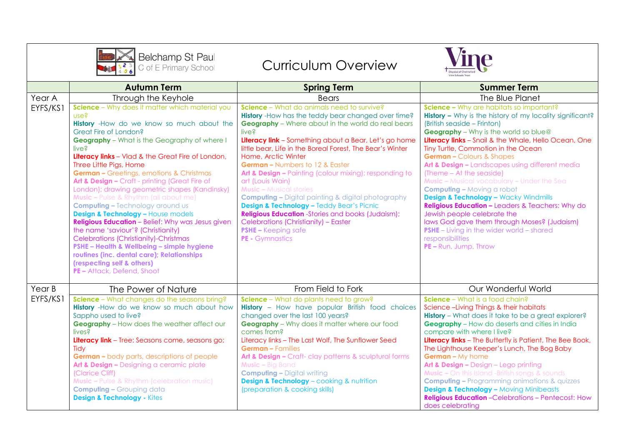

## Curriculum Overview



|          | <b>Autumn Term</b>                                                                                                                                                                                                                                                                                                                                                                                                                                                                                                                                                                                                                                                                                                                                                                                                                                                                                | <b>Spring Term</b>                                                                                                                                                                                                                                                                                                                                                                                                                                                                                                                                                                                                                                                                                                                                                    | <b>Summer Term</b>                                                                                                                                                                                                                                                                                                                                                                                                                                                                                                                                                                                                                                                                                                                                                                                    |
|----------|---------------------------------------------------------------------------------------------------------------------------------------------------------------------------------------------------------------------------------------------------------------------------------------------------------------------------------------------------------------------------------------------------------------------------------------------------------------------------------------------------------------------------------------------------------------------------------------------------------------------------------------------------------------------------------------------------------------------------------------------------------------------------------------------------------------------------------------------------------------------------------------------------|-----------------------------------------------------------------------------------------------------------------------------------------------------------------------------------------------------------------------------------------------------------------------------------------------------------------------------------------------------------------------------------------------------------------------------------------------------------------------------------------------------------------------------------------------------------------------------------------------------------------------------------------------------------------------------------------------------------------------------------------------------------------------|-------------------------------------------------------------------------------------------------------------------------------------------------------------------------------------------------------------------------------------------------------------------------------------------------------------------------------------------------------------------------------------------------------------------------------------------------------------------------------------------------------------------------------------------------------------------------------------------------------------------------------------------------------------------------------------------------------------------------------------------------------------------------------------------------------|
| Year A   | Through the Keyhole                                                                                                                                                                                                                                                                                                                                                                                                                                                                                                                                                                                                                                                                                                                                                                                                                                                                               | <b>Bears</b>                                                                                                                                                                                                                                                                                                                                                                                                                                                                                                                                                                                                                                                                                                                                                          | The Blue Planet                                                                                                                                                                                                                                                                                                                                                                                                                                                                                                                                                                                                                                                                                                                                                                                       |
| EYFS/KS1 | <b>Science</b> – Why does it matter which material you<br>use?<br>History -How do we know so much about the<br>Great Fire of London?<br><b>Geography</b> - What is the Geography of where I<br>live?<br>Literacy links - Vlad & the Great Fire of London,<br>Three Little Pigs, Home<br><b>German - Greetings, emotions &amp; Christmas</b><br>Art & Design - Craft - printing (Great Fire of<br>London); drawing geometric shapes (Kandinsky)<br><b>Music - Pulse &amp; Rhythm (all about me)</b><br><b>Computing - Technology around us</b><br><b>Design &amp; Technology - House models</b><br>Religious Education - Belief: Why was Jesus given<br>the name 'saviour'? (Christianity)<br><b>Celebrations (Christianity)-Christmas</b><br>PSHE - Health & Wellbeing - simple hygiene<br>routines (inc. dental care); Relationships<br>(respecting self & others)<br>PE - Attack, Defend, Shoot | <b>Science</b> – What do animals need to survive?<br>History - How has the teddy bear changed over time?<br><b>Geography</b> - Where about in the world do real bears<br>live?<br>Literacy link - Something about a Bear, Let's go home<br>little bear, Life in the Boreal Forest, The Bear's Winter<br>Home, Arctic Winter<br><b>German - Numbers to 12 &amp; Easter</b><br>Art & Design - Painting (colour mixing); responding to<br>art (Louis Wain)<br><b>Music - Musical stories</b><br><b>Computing - Digital painting &amp; digital photography</b><br><b>Design &amp; Technology - Teddy Bear's Picnic</b><br><b>Religious Education</b> -Stories and books (Judaism);<br>Celebrations (Christianity) - Easter<br><b>PSHE-Keeping safe</b><br>PE - Gymnastics | Science - Why are habitats so important?<br>History - Why is the history of my locality significant?<br>(British seaside - Frinton)<br><b>Geography</b> - Why is the world so blue@<br>Literacy links - Snail & the Whale, Hello Ocean, One<br>Tiny Turtle, Commotion in the Ocean<br><b>German - Colours &amp; Shapes</b><br>Art & Design - Landscapes using different media<br>(Theme - At the seaside)<br><b>Music - Musical vocabulary - Under the Sea</b><br><b>Computing - Moving a robot</b><br><b>Design &amp; Technology - Wacky Windmills</b><br><b>Religious Education - Leaders &amp; Teachers: Why do</b><br>Jewish people celebrate the<br>laws God gave them through Moses? (Judaism)<br><b>PSHE</b> - Living in the wider world - shared<br>responsibilities<br>PE - Run, Jump, Throw |
| Year B   | The Power of Nature                                                                                                                                                                                                                                                                                                                                                                                                                                                                                                                                                                                                                                                                                                                                                                                                                                                                               | From Field to Fork                                                                                                                                                                                                                                                                                                                                                                                                                                                                                                                                                                                                                                                                                                                                                    | Our Wonderful World                                                                                                                                                                                                                                                                                                                                                                                                                                                                                                                                                                                                                                                                                                                                                                                   |
| EYFS/KS1 | Science - What changes do the seasons bring?<br><b>History</b> -How do we know so much about how<br>Sappho used to live?<br><b>Geography</b> - How does the weather affect our<br>lives?<br>Literacy link - Tree: Seasons come, seasons go;<br>Tidy<br><b>German - body parts, descriptions of people</b><br>Art & Design - Designing a ceramic plate<br>(Clarice Cliff)<br><b>Music - Pulse &amp; Rhythm (celebration music)</b><br><b>Computing - Grouping data</b><br><b>Design &amp; Technology - Kites</b>                                                                                                                                                                                                                                                                                                                                                                                   | Science - What do plants need to grow?<br><b>History</b> - How have popular British food choices<br>changed over the last 100 years?<br><b>Geography</b> - Why does it matter where our food<br>comes from?<br>Literacy links - The Last Wolf, The Sunflower Seed<br><b>German - Families</b><br>Art & Design - Craft- clay patterns & sculptural forms<br><b>Music - Big Band</b><br><b>Computing - Digital writing</b><br><b>Design &amp; Technology</b> - cooking & nutrition<br>(preparation & cooking skills)                                                                                                                                                                                                                                                    | Science - What is a food chain?<br>Science-Living Things & their habitats<br>History - What does it take to be a great explorer?<br><b>Geography</b> - How do deserts and cities in India<br>compare with where I live?<br>Literacy links - The Butterfly is Patient, The Bee Book,<br>The Lighthouse Keeper's Lunch, The Bog Baby<br>German - My home<br>Art & Design - Design - Lego printing<br><b>Music - On this Island -British songs &amp; sounds</b><br><b>Computing - Programming animations &amp; quizzes</b><br><b>Design &amp; Technology - Moving Minibeasts</b><br><b>Religious Education</b> - Celebrations - Pentecost: How<br>does celebrating                                                                                                                                       |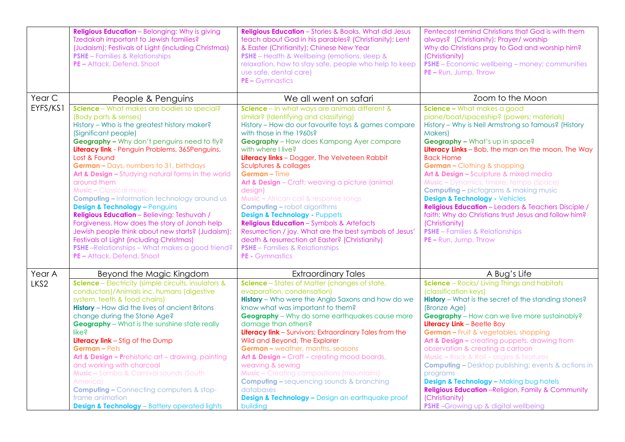| <b>Religious Education</b> - Belonging: Why is giving<br>Tzedakah important to Jewish families?<br>(Judaism); Festivals of Light (including Christmas)<br><b>PSHE</b> - Families & Relationships<br>PE - Attack, Defend, Shoot                                                                                                                                                                                                                                                                                                                                                                                                                                                                                                                                     | <b>Religious Education</b> - Stories & Books. What did Jesus<br>teach about God in his parables? (Christianity); Lent<br>& Easter (Chritianity); Chinese New Year<br><b>PSHE</b> - Health & Wellbeing (emotions, sleep &<br>relaxation, how to stay safe, people who help to keep<br>use safe, dental care)<br>$PE-Gymnastics$                                                                                                                                                                                                                                                                                                                                                                                                           | Pentecost remind Christians that God is with them<br>always? (Christianity); Prayer/ worship<br>Why do Christians pray to God and worship him?<br>(Christianity)<br>PSHE - Economic wellbeing - money; communities<br>PE - Run, Jump, Throw                                                                                                                                                                                                                                                                                                                                                                                                                                                                |
|--------------------------------------------------------------------------------------------------------------------------------------------------------------------------------------------------------------------------------------------------------------------------------------------------------------------------------------------------------------------------------------------------------------------------------------------------------------------------------------------------------------------------------------------------------------------------------------------------------------------------------------------------------------------------------------------------------------------------------------------------------------------|------------------------------------------------------------------------------------------------------------------------------------------------------------------------------------------------------------------------------------------------------------------------------------------------------------------------------------------------------------------------------------------------------------------------------------------------------------------------------------------------------------------------------------------------------------------------------------------------------------------------------------------------------------------------------------------------------------------------------------------|------------------------------------------------------------------------------------------------------------------------------------------------------------------------------------------------------------------------------------------------------------------------------------------------------------------------------------------------------------------------------------------------------------------------------------------------------------------------------------------------------------------------------------------------------------------------------------------------------------------------------------------------------------------------------------------------------------|
|                                                                                                                                                                                                                                                                                                                                                                                                                                                                                                                                                                                                                                                                                                                                                                    |                                                                                                                                                                                                                                                                                                                                                                                                                                                                                                                                                                                                                                                                                                                                          | Zoom to the Moon                                                                                                                                                                                                                                                                                                                                                                                                                                                                                                                                                                                                                                                                                           |
| (Body parts & senses)<br>History - Who is the greatest history maker?<br>(Significant people)<br>Geography - Why don't penguins need to fly?<br>Literacy link - Penguin Problems, 365Penguins,<br>Lost & Found<br>German - Days, numbers to 31, birthdays<br>Art & Design - Studying natural forms in the world<br>around them<br><b>Music - Classical music</b><br><b>Computing - Information technology around us</b><br><b>Design &amp; Technology - Penguins</b><br><b>Religious Education</b> - Believing: Teshuvah /<br>Forgiveness. How does the story of Jonah help<br>Jewish people think about new starts? (Judaism);<br>Festivals of Light (including Christmas)<br><b>PSHE-Relationships - What makes a good friend?</b><br>PE - Attack, Defend, Shoot | similar? (Identifying and classifying)<br>History - How do our favourite toys & games compare<br>with those in the 1960s?<br><b>Geography</b> - How does Kampong Ayer compare<br>with where I live?<br>Literacy links - Dogger, The Velveteen Rabbit<br>Sculptures & collages<br><b>German</b> – Time<br>Art & Design - Craft: weaving a picture (animal<br>design)<br><b>Music - African call &amp; response songs</b><br><b>Computing - robot algorithms</b><br><b>Design &amp; Technology - Puppets</b><br><b>Religious Education</b> - Symbols & Artefacts<br>Resurrection / joy. What are the best symbols of Jesus'<br>death & resurrection at Easter? (Christianity)<br><b>PSHE</b> - Families & Relationships<br>PE - Gymnastics | Science - What makes a good<br>plane/boat/spaceship? (powers; materials)<br>History - Why is Neil Armstrong so famous? (History<br>Makers)<br>Geography - What's up in space?<br>Literacy Links - Bob, the man on the moon, The Way<br><b>Back Home</b><br><b>German - Clothing &amp; shopping</b><br>Art & Design - Sculpture & mixed media<br><b>Music -</b> Dynamics, timbre, tempo (Space)<br><b>Computing - pictograms &amp; making music</b><br><b>Design &amp; Technology - Vehicles</b><br><b>Religious Education</b> - Leaders & Teachers Disciple /<br>faith: Why do Christians trust Jesus and follow him?<br>(Christianity)<br><b>PSHE</b> - Families & Relationships<br>PE - Run, Jump, Throw |
| Beyond the Magic Kingdom                                                                                                                                                                                                                                                                                                                                                                                                                                                                                                                                                                                                                                                                                                                                           | <b>Extraordinary Tales</b>                                                                                                                                                                                                                                                                                                                                                                                                                                                                                                                                                                                                                                                                                                               | A Bug's Life                                                                                                                                                                                                                                                                                                                                                                                                                                                                                                                                                                                                                                                                                               |
| <b>Science</b> - Electricity (simple circuits, insulators &<br>conductors)/Animals inc. humans (digestive<br>system, teeth & food chains)<br><b>History</b> - How did the lives of ancient Britons<br>change during the Stone Age?<br><b>Geography</b> - What is the sunshine state really<br>like?<br><b>Literacy link</b> - Stig of the Dump<br><b>German-Pets</b><br>Art & Design - Prehistoric art - drawing, painting<br>and working with charcoal<br><b>Music - Samba &amp; Carnival sounds (South)</b><br>America)<br><b>Computing - Connecting computers &amp; stop-</b>                                                                                                                                                                                   | Science - States of Matter (changes of state,<br>evaporation, condensation)<br><b>History</b> - Who were the Anglo Saxons and how do we<br>know what was important to them?<br><b>Geography</b> - Why do some earthquakes cause more<br>damage than others?<br>Literacy link - Survivors: Extraordinary Tales from the<br>Wild and Beyond, The Explorer<br><b>German - weather, months, seasons</b><br>Art & Design - Craft - creating mood boards,<br>weaving & sewing<br><b>Music -</b> Creating compositions (mountains)<br><b>Computing - sequencing sounds &amp; branching</b><br>databases<br><b>Design &amp; Technology - Design an earthquake proof</b>                                                                          | Science - Rocks/ Living Things and habitats<br>(classification keys)<br>History - What is the secret of the standing stones?<br>(Bronze Age)<br><b>Geography</b> - How can we live more sustainably?<br>Literacy Link - Beetle Boy<br><b>German - Fruit &amp; vegetables, shopping</b><br>Art & Design - creating puppets, drawing from<br>observation & creating a cartoon<br><b>Music - Rock &amp; Roll - origins &amp; features</b><br><b>Computing - Desktop publishing; events &amp; actions in</b><br>programs<br><b>Design &amp; Technology - Making bug hotels</b><br><b>Religious Education</b> - Religion, Family & Community<br>(Christianity)                                                  |
|                                                                                                                                                                                                                                                                                                                                                                                                                                                                                                                                                                                                                                                                                                                                                                    | People & Penguins<br>Science - What makes are bodies so special?<br>frame animation                                                                                                                                                                                                                                                                                                                                                                                                                                                                                                                                                                                                                                                      | We all went on safari<br>Science - In what ways are animals different &                                                                                                                                                                                                                                                                                                                                                                                                                                                                                                                                                                                                                                    |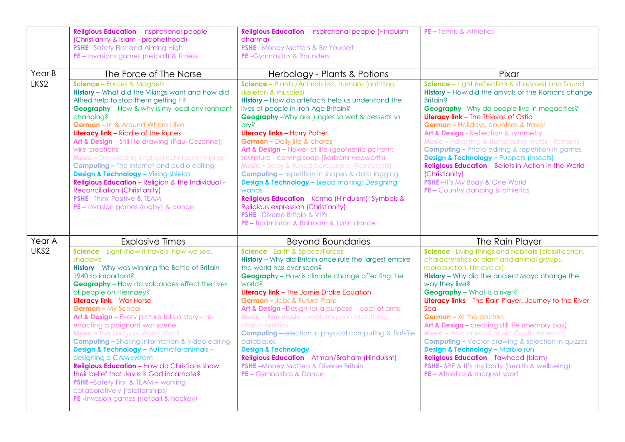|        | <b>Religious Education</b> - Inspirational people<br>(Christianity & Islam - prophethood)<br><b>PSHE-Safety First and Aiming High</b><br>PE - Invasions games (netball) & fitness                                                                                                                                                                                                                                                                                                                                                                                                                                                                                                                                                                                                                  | <b>Religious Education</b> - Inspirational people (Hinduism<br>dharma)<br><b>PSHE-Money Matters &amp; Be Yourself</b><br>PE - Gymnastics & Rounders                                                                                                                                                                                                                                                                                                                                                                                                                                                                                                                                                                                                                                                            | <b>PE - Tennis &amp; Athletics</b>                                                                                                                                                                                                                                                                                                                                                                                                                                                                                                                                                                                                                                                                                        |
|--------|----------------------------------------------------------------------------------------------------------------------------------------------------------------------------------------------------------------------------------------------------------------------------------------------------------------------------------------------------------------------------------------------------------------------------------------------------------------------------------------------------------------------------------------------------------------------------------------------------------------------------------------------------------------------------------------------------------------------------------------------------------------------------------------------------|----------------------------------------------------------------------------------------------------------------------------------------------------------------------------------------------------------------------------------------------------------------------------------------------------------------------------------------------------------------------------------------------------------------------------------------------------------------------------------------------------------------------------------------------------------------------------------------------------------------------------------------------------------------------------------------------------------------------------------------------------------------------------------------------------------------|---------------------------------------------------------------------------------------------------------------------------------------------------------------------------------------------------------------------------------------------------------------------------------------------------------------------------------------------------------------------------------------------------------------------------------------------------------------------------------------------------------------------------------------------------------------------------------------------------------------------------------------------------------------------------------------------------------------------------|
| Year B | The Force of The Norse                                                                                                                                                                                                                                                                                                                                                                                                                                                                                                                                                                                                                                                                                                                                                                             | Herbology - Plants & Potions                                                                                                                                                                                                                                                                                                                                                                                                                                                                                                                                                                                                                                                                                                                                                                                   | Pixar                                                                                                                                                                                                                                                                                                                                                                                                                                                                                                                                                                                                                                                                                                                     |
| LKS2   | <b>Science</b> - Forces & Magnets<br><b>History</b> - What did the Vikings want and how did<br>Alfred help to stop them getting it?<br><b>Geography</b> - How & why is my local environment<br>changing?<br>German - In & Around Where I live<br><b>Literacy link</b> - Riddle of the Runes<br>Art & Design - Still life drawing (Paul Cezanne);<br>wire creations<br><b>Music -</b> Developing singing techniques (Vikings)<br><b>Computing - The internet and audio editing</b><br><b>Design &amp; Technology - Viking shields</b><br>Religious Education - Religion & the Individual -<br><b>Reconciliation (Christianity)</b><br><b>PSHE-Think Positive &amp; TEAM</b><br>PE - Invasion games (rugby) & dance                                                                                  | Science - Plants / Animals inc. humans (nutrition,<br>skeleton & muscles)<br><b>History</b> - How do artefacts help us understand the<br>lives of people in Iron Age Britain?<br><b>Geography</b> - Why are jungles so wet & desserts so<br>dry?<br>Literacy links - Harry Potter<br><b>German - Daily life &amp; chores</b><br>Art & Design - Flower of life (geometric pattern;<br>sculpture - carving soap (Barbara Hepworth)<br><b>Music - Body &amp; Tuned percussions (Rainforests)</b><br><b>Computing - repetition in shapes &amp; data logging</b><br><b>Design &amp; Technology - Bread making; Designing</b><br>wands<br>Religious Education - Karma (Hinduism); Symbols &<br>Religious expression (Christianity)<br><b>PSHE</b> -Diverse Britain & VIPs<br>PE - Badminton & Ballroom & Latin dance | Science - Light (reflection & shadows) and Sound<br><b>History</b> - How did the arrivals of the Romans change<br><b>Britain?</b><br><b>Geography</b> - Why do people live in megacities?<br>Literacy link - The Thieves of Ostia<br><b>German - Holidays, countries &amp; travel</b><br>Art & Design - Reflection & symmetry<br><b>Music - Adapting &amp; transposing motifs - Romans</b><br><b>Computing - Photo editing &amp; repetition in games</b><br><b>Design &amp; Technology - Puppets (Insects)</b><br><b>Religious Education</b> - Beliefs in Action in the World<br>(Christianity)<br><b>PSHE</b> - It's My Body & One World<br>PE - Country dancing & athletics                                             |
| Year A | <b>Explosive Times</b>                                                                                                                                                                                                                                                                                                                                                                                                                                                                                                                                                                                                                                                                                                                                                                             | <b>Beyond Boundaries</b>                                                                                                                                                                                                                                                                                                                                                                                                                                                                                                                                                                                                                                                                                                                                                                                       | The Rain Player                                                                                                                                                                                                                                                                                                                                                                                                                                                                                                                                                                                                                                                                                                           |
| UKS2   | Science - Light (how it travels, how we see,<br>shadows<br><b>History</b> - Why was winning the Battle of Britain<br>1940 so important?<br><b>Geography</b> - How do volcanoes effect the lives<br>of people on Hiemaey?<br><b>Literacy link - War Horse</b><br>German - My School<br>Art & Design - Every picture tells a story - re-<br>enacting a poignant war scene<br><b>Music - The Songs of World War II</b><br><b>Computing - Sharing information &amp; video editing</b><br><b>Design &amp; Technology - Automata animals -</b><br>designing a CAM system<br><b>Religious Education</b> - How do Christians show<br>their belief that Jesus is God incarnate?<br><b>PSHE-Safety First &amp; TEAM - working</b><br>collaboratively (relationships)<br>PE-Invasion games (netball & hockey) | <b>Science</b> - Earth & Space/Forces<br><b>History</b> - Why did Britain once rule the largest empire<br>the world has ever seen?<br><b>Geography</b> - How is climate change affecting the<br>world?<br>Literacy link - The Jamie Drake Equation<br><b>German - Jobs &amp; Future Plans</b><br>Art & Design - Design for a purpose - coat of arms<br><b>Music - Film music - exploring and identifying</b><br>characteristics<br><b>Computing -selection in physical computing &amp; flat-file</b><br>databases<br><b>Design &amp; Technology</b><br><b>Religious Education</b> - Atman/Braham (Hinduism)<br><b>PSHE-Money Matters &amp; Diverse Britain</b><br>PE - Gymnastics & Dance                                                                                                                      | Science-Living things and habitats (classification,<br>characteristics of plant and animal groups,<br>reproduction, life cycles)<br><b>History</b> - Why did the ancient Maya change the<br>way they live?<br><b>Geography</b> - What is a river?<br>Literacy links - The Rain Player, Journey to the River<br>Sea<br><b>German - At the doctors</b><br>Art & Design - creating still life (memory box)<br><b>Music - Instrumental music (South America)</b><br><b>Computing - Vector drawing &amp; selection in quizzes</b><br><b>Design &amp; Technology - Marble run</b><br><b>Religious Education</b> - Tawheed (Islam)<br>PSHE- SRE & It's my body (health & wellbeing)<br><b>PE - Athletics &amp; racquet sport</b> |